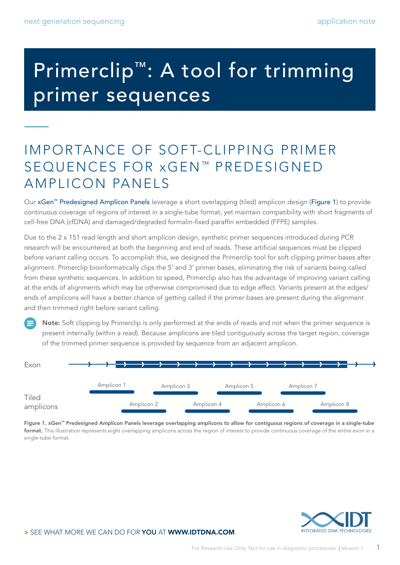# Primerclip™: A tool for trimming primer sequences

### IMPORTANCE OF SOFT-CLIPPING PRIMER SEQUENCES FOR xGEN<sup>™</sup> PREDESIGNED AMPLICON PANELS

Our [xGen™ Predesigned Amplicon Panels](https://www.idtdna.com/pages/products/next-generation-sequencing/workflow/xgen-ngs-amplicon-sequencing/predesigned-amplicon-panels) leverage a short overlapping (tiled) amplicon design (Figure 1) to provide continuous coverage of regions of interest in a single-tube format, yet maintain compatibility with short fragments of cell-free DNA (cfDNA) and damaged/degraded formalin-fixed paraffin embedded (FFPE) samples.

Due to the 2 x 151 read length and short amplicon design, synthetic primer sequences introduced during PCR research will be encountered at both the beginning and end of reads. These artificial sequences must be clipped before variant calling occurs. To accomplish this, we designed the Primerclip tool for soft clipping primer bases after alignment. Primerclip bioinformatically clips the 5' and 3' primer bases, eliminating the risk of variants being called from these synthetic sequences. In addition to speed, Primerclip also has the advantage of improving variant calling at the ends of alignments which may be otherwise compromised due to edge effect. Variants present at the edges/ ends of amplicons will have a better chance of getting called if the primer bases are present during the alignment and then trimmed right before variant calling.

Note: Soft clipping by Primerclip is only performed at the ends of reads and not when the primer sequence is present internally (within a read). Because amplicons are tiled contiguously across the target region, coverage of the trimmed primer sequence is provided by sequence from an adjacent amplicon.

| Exon               |  |            |            |            |            |            |            |            |            |  |
|--------------------|--|------------|------------|------------|------------|------------|------------|------------|------------|--|
|                    |  | Amplicon 1 |            | Amplicon 3 |            | Amplicon 5 |            | Amplicon 7 |            |  |
| Tiled<br>amplicons |  |            | Amplicon 2 |            | Amplicon 4 |            | Amplicon 6 |            | Amplicon 8 |  |

Figure 1. [xGen™ Predesigned Amplicon Panels](https://www.idtdna.com/pages/products/next-generation-sequencing/workflow/xgen-ngs-amplicon-sequencing/predesigned-amplicon-panels) leverage overlapping amplicons to allow for contiguous regions of coverage in a single-tube format. This illustration represents eight overlapping amplicons across the region of interest to provide continuous coverage of the entire exon in a single-tube format.

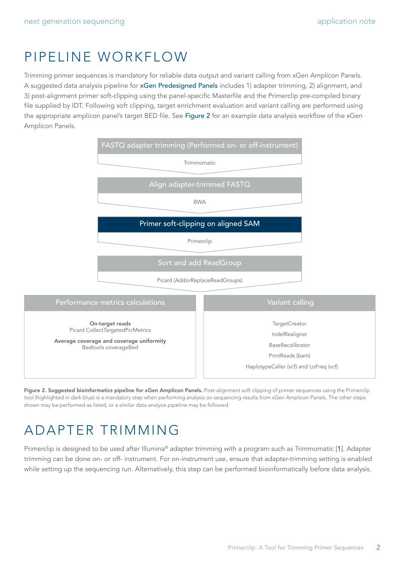### PIPELINE WORKFLOW

Trimming primer sequences is mandatory for reliable data output and variant calling from xGen Amplicon Panels. A suggested data analysis pipeline for [xGen Predesigned Panels](https://www.idtdna.com/pages/products/next-generation-sequencing/workflow/xgen-ngs-amplicon-sequencing/predesigned-amplicon-panels) includes 1) adapter trimming, 2) alignment, and 3) post-alignment primer soft-clipping using the panel-specific Masterfile and the Primerclip pre-compiled binary file supplied by IDT. Following soft clipping, target enrichment evaluation and variant calling are performed using the appropriate amplicon panel's target BED file. See Figure 2 for an example data analysis workflow of the xGen Amplicon Panels.



Figure 2. Suggested bioinformatics pipeline for xGen Amplicon Panels. Post-alignment soft clipping of primer sequences using the Primerclip tool (highlighted in dark blue) is a mandatory step when performing analysis on sequencing results from xGen Amplicon Panels. The other steps shown may be performed as listed, or a similar data analysis pipeline may be followed.

# ADAPTER TRIMMING

Primerclip is designed to be used after Illumina® adapter trimming with a program such as Trimmomatic [[1](#page-4-0)]. Adapter trimming can be done on- or off- instrument. For on-instrument use, ensure that adapter-trimming setting is enabled while setting up the sequencing run. Alternatively, this step can be performed bioinformatically before data analysis.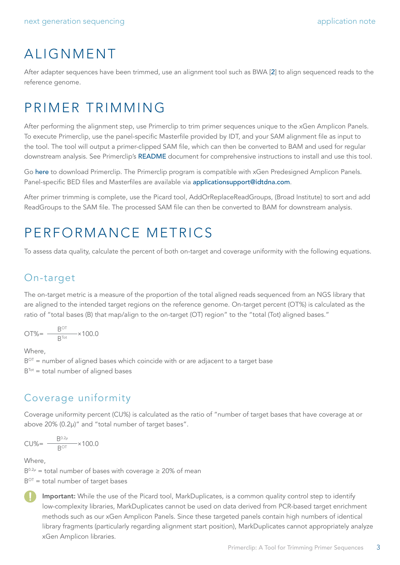# ALIGNMENT

After adapter sequences have been trimmed, use an alignment tool such as BWA [[2](#page-4-1)] to align sequenced reads to the reference genome.

## PRIMER TRIMMING

After performing the alignment step, use Primerclip to trim primer sequences unique to the xGen Amplicon Panels. To execute Primerclip, use the panel-specific Masterfile provided by IDT, and your SAM alignment file as input to the tool. The tool will output a primer-clipped SAM file, which can then be converted to BAM and used for regular downstream analysis. See Primerclip's [README](https://github.com/swiftbiosciences/primerclip#readme) document for comprehensive instructions to install and use this tool.

Go [here](http://github.com/swiftbiosciences/primerclip) to download Primerclip. The Primerclip program is compatible with xGen Predesigned Amplicon Panels. Panel-specific BED files and Masterfiles are available via [applicationsupport@idtdna.com](mailto:applicationsupport%40idtdna.com?subject=).

After primer trimming is complete, use the Picard tool, AddOrReplaceReadGroups, (Broad Institute) to sort and add ReadGroups to the SAM file. The processed SAM file can then be converted to BAM for downstream analysis.

### PERFORMANCE METRICS

To assess data quality, calculate the percent of both on-target and coverage uniformity with the following equations.

### On-target

The on-target metric is a measure of the proportion of the total aligned reads sequenced from an NGS library that are aligned to the intended target regions on the reference genome. On-target percent (OT%) is calculated as the ratio of "total bases (B) that map/align to the on-target (OT) region" to the "total (Tot) aligned bases."

$$
OT\% = \frac{B^{OT}}{B^{Tot}} \times 100.0
$$

Where

 $B<sup>OT</sup>$  = number of aligned bases which coincide with or are adjacent to a target base  $B<sup>Tot</sup> = total number of aligned bases$ 

### Coverage uniformity

Coverage uniformity percent (CU%) is calculated as the ratio of "number of target bases that have coverage at or above 20% (0.2µ)" and "total number of target bases".

$$
CU\% = \frac{B^{0.2\mu}}{B^{OT}} \times 100.0
$$

Where,

 $B^{0.2\mu}$  = total number of bases with coverage  $\geq 20\%$  of mean

 $B<sup>OT</sup> = total number of target bases$ 



Important: While the use of the Picard tool, MarkDuplicates, is a common quality control step to identify low-complexity libraries, MarkDuplicates cannot be used on data derived from PCR-based target enrichment methods such as our xGen Amplicon Panels. Since these targeted panels contain high numbers of identical library fragments (particularly regarding alignment start position), MarkDuplicates cannot appropriately analyze xGen Amplicon libraries.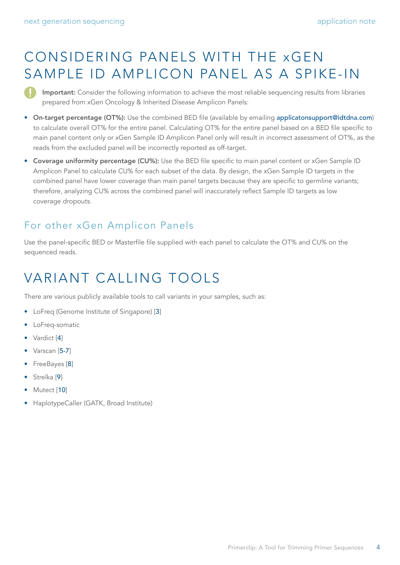# CONSIDERING PANELS WITH THE xGEN SAMPLE ID AMPLICON PANEL AS A SPIKE-IN

Important: Consider the following information to achieve the most reliable sequencing results from libraries prepared from xGen Oncology & Inherited Disease Amplicon Panels:

- On-target percentage (OT%): Use the combined BED file (available by emailing [applicatonsupport@idtdna.com](mailto:applicatonsupport%40idtdna.com?subject=)) to calculate overall OT% for the entire panel. Calculating OT% for the entire panel based on a BED file specific to main panel content only or xGen Sample ID Amplicon Panel only will result in incorrect assessment of OT%, as the reads from the excluded panel will be incorrectly reported as off-target.
- Coverage uniformity percentage (CU%): Use the BED file specific to main panel content or xGen Sample ID Amplicon Panel to calculate CU% for each subset of the data. By design, the xGen Sample ID targets in the combined panel have lower coverage than main panel targets because they are specific to germline variants; therefore, analyzing CU% across the combined panel will inaccurately reflect Sample ID targets as low coverage dropouts.

### For other xGen Amplicon Panels

Use the panel-specific BED or Masterfile file supplied with each panel to calculate the OT% and CU% on the sequenced reads.

# VARIANT CALLING TOOLS

There are various publicly available tools to call variants in your samples, such as:

- LoFreq (Genome Institute of Singapore) [[3](#page-4-2)]
- LoFreq-somatic
- Vardict [[4](#page-4-3)]
- Varscan [[5-7](#page-4-4)]
- FreeBayes [[8](#page-4-5)]
- Strelka<sup>[[9](#page-4-6)]</sup>
- Mutect [[10](#page-4-7)]
- HaplotypeCaller (GATK, Broad Institute)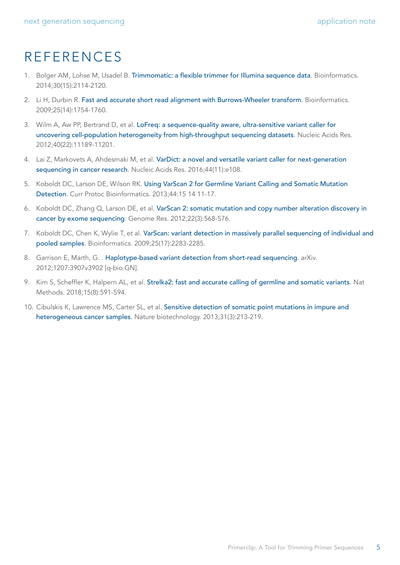### REFERENCES

- <span id="page-4-0"></span>1. Bolger AM, Lohse M, Usadel B. [Trimmomatic: a flexible trimmer for Illumina sequence data](https://pubmed.ncbi.nlm.nih.gov/24695404/). Bioinformatics. 2014;30(15):2114-2120.
- <span id="page-4-1"></span>2. Li H, Durbin R. [Fast and accurate short read alignment with Burrows-Wheeler transform](https://pubmed.ncbi.nlm.nih.gov/19451168/). Bioinformatics. 2009;25(14):1754-1760.
- <span id="page-4-2"></span>3. Wilm A, Aw PP, Bertrand D, et al. [LoFreq: a sequence-quality aware, ultra-sensitive variant caller for](https://pubmed.ncbi.nlm.nih.gov/23066108/)  [uncovering cell-population heterogeneity from high-throughput sequencing datasets](https://pubmed.ncbi.nlm.nih.gov/23066108/). Nucleic Acids Res. 2012;40(22):11189-11201.
- <span id="page-4-3"></span>4. Lai Z, Markovets A, Ahdesmaki M, et al. [VarDict: a novel and versatile variant caller for next-generation](https://pubmed.ncbi.nlm.nih.gov/27060149/)  [sequencing in cancer research](https://pubmed.ncbi.nlm.nih.gov/27060149/). Nucleic Acids Res. 2016;44(11):e108.
- <span id="page-4-4"></span>5. Koboldt DC, Larson DE, Wilson RK. [Using VarScan 2 for Germline Variant Calling and Somatic Mutation](https://pubmed.ncbi.nlm.nih.gov/25553206/)  [Detection](https://pubmed.ncbi.nlm.nih.gov/25553206/). Curr Protoc Bioinformatics. 2013;44:15 14 11-17.
- 6. Koboldt DC, Zhang Q, Larson DE, et al. [VarScan 2: somatic mutation and copy number alteration discovery in](https://pubmed.ncbi.nlm.nih.gov/22300766/)  [cancer by exome sequencing](https://pubmed.ncbi.nlm.nih.gov/22300766/). Genome Res. 2012;22(3):568-576.
- 7. Koboldt DC, Chen K, Wylie T, et al. [VarScan: variant detection in massively parallel sequencing of individual and](https://pubmed.ncbi.nlm.nih.gov/19542151/)  [pooled samples](https://pubmed.ncbi.nlm.nih.gov/19542151/). Bioinformatics. 2009;25(17):2283-2285.
- <span id="page-4-5"></span>8. Garrison E, Marth, G. . [Haplotype-based variant detection from short-read sequencing](https://arxiv.org/abs/1207.3907). arXiv. 2012;1207:3907v3902 [q-bio.GN].
- <span id="page-4-6"></span>9. Kim S, Scheffler K, Halpern AL, et al. [Strelka2: fast and accurate calling of germline and somatic variants](https://pubmed.ncbi.nlm.nih.gov/30013048/). Nat Methods. 2018;15(8):591-594.
- <span id="page-4-7"></span>10. Cibulskis K, Lawrence MS, Carter SL, et al. [Sensitive detection of somatic point mutations in impure and](https://pubmed.ncbi.nlm.nih.gov/23396013/)  [heterogeneous cancer samples](https://pubmed.ncbi.nlm.nih.gov/23396013/). Nature biotechnology. 2013;31(3):213-219.